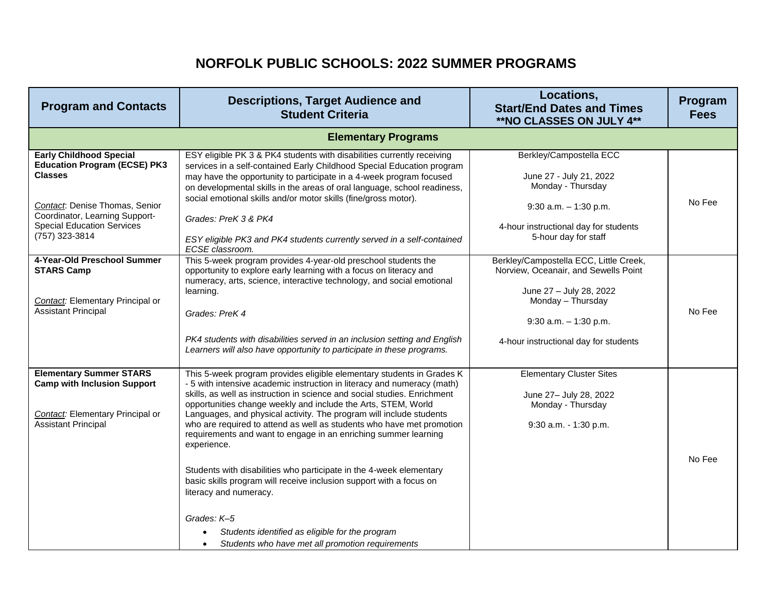## **NORFOLK PUBLIC SCHOOLS: 2022 SUMMER PROGRAMS**

| <b>Program and Contacts</b>                                                                                                                                                                                        | <b>Descriptions, Target Audience and</b><br><b>Student Criteria</b>                                                                                                                                                                                                                                                                                                                                                                                                                                                                                                                                                                                                                                                                                                                                                                        | Locations,<br><b>Start/End Dates and Times</b><br>**NO CLASSES ON JULY 4**                                                                                                                          | Program<br><b>Fees</b> |
|--------------------------------------------------------------------------------------------------------------------------------------------------------------------------------------------------------------------|--------------------------------------------------------------------------------------------------------------------------------------------------------------------------------------------------------------------------------------------------------------------------------------------------------------------------------------------------------------------------------------------------------------------------------------------------------------------------------------------------------------------------------------------------------------------------------------------------------------------------------------------------------------------------------------------------------------------------------------------------------------------------------------------------------------------------------------------|-----------------------------------------------------------------------------------------------------------------------------------------------------------------------------------------------------|------------------------|
|                                                                                                                                                                                                                    | <b>Elementary Programs</b>                                                                                                                                                                                                                                                                                                                                                                                                                                                                                                                                                                                                                                                                                                                                                                                                                 |                                                                                                                                                                                                     |                        |
| <b>Early Childhood Special</b><br><b>Education Program (ECSE) PK3</b><br><b>Classes</b><br>Contact: Denise Thomas, Senior<br>Coordinator, Learning Support-<br><b>Special Education Services</b><br>(757) 323-3814 | ESY eligible PK 3 & PK4 students with disabilities currently receiving<br>services in a self-contained Early Childhood Special Education program<br>may have the opportunity to participate in a 4-week program focused<br>on developmental skills in the areas of oral language, school readiness,<br>social emotional skills and/or motor skills (fine/gross motor).<br>Grades: PreK 3 & PK4<br>ESY eligible PK3 and PK4 students currently served in a self-contained<br>ECSE classroom.                                                                                                                                                                                                                                                                                                                                                | Berkley/Campostella ECC<br>June 27 - July 21, 2022<br>Monday - Thursday<br>$9:30$ a.m. $-1:30$ p.m.<br>4-hour instructional day for students<br>5-hour day for staff                                | No Fee                 |
| 4-Year-Old Preschool Summer<br><b>STARS Camp</b><br>Contact: Elementary Principal or<br><b>Assistant Principal</b>                                                                                                 | This 5-week program provides 4-year-old preschool students the<br>opportunity to explore early learning with a focus on literacy and<br>numeracy, arts, science, interactive technology, and social emotional<br>learning.<br>Grades: PreK 4<br>PK4 students with disabilities served in an inclusion setting and English<br>Learners will also have opportunity to participate in these programs.                                                                                                                                                                                                                                                                                                                                                                                                                                         | Berkley/Campostella ECC, Little Creek,<br>Norview, Oceanair, and Sewells Point<br>June 27 - July 28, 2022<br>Monday - Thursday<br>$9:30$ a.m. $-1:30$ p.m.<br>4-hour instructional day for students | No Fee                 |
| <b>Elementary Summer STARS</b><br><b>Camp with Inclusion Support</b><br>Contact: Elementary Principal or<br><b>Assistant Principal</b>                                                                             | This 5-week program provides eligible elementary students in Grades K<br>- 5 with intensive academic instruction in literacy and numeracy (math)<br>skills, as well as instruction in science and social studies. Enrichment<br>opportunities change weekly and include the Arts, STEM, World<br>Languages, and physical activity. The program will include students<br>who are required to attend as well as students who have met promotion<br>requirements and want to engage in an enriching summer learning<br>experience.<br>Students with disabilities who participate in the 4-week elementary<br>basic skills program will receive inclusion support with a focus on<br>literacy and numeracy.<br>Grades: K-5<br>Students identified as eligible for the program<br>Students who have met all promotion requirements<br>$\bullet$ | <b>Elementary Cluster Sites</b><br>June 27- July 28, 2022<br>Monday - Thursday<br>9:30 a.m. - 1:30 p.m.                                                                                             | No Fee                 |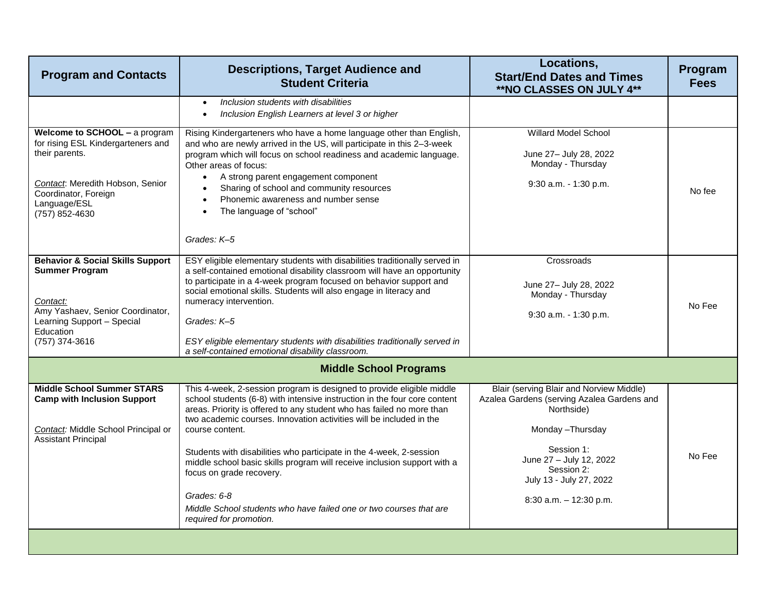| <b>Program and Contacts</b>                                                                                                                                                         | <b>Descriptions, Target Audience and</b><br><b>Student Criteria</b>                                                                                                                                                                                                                                                                                                                                                                                                                                                                                                                                                  | Locations,<br><b>Start/End Dates and Times</b><br>**NO CLASSES ON JULY 4**                                                                                                                                                          | Program<br><b>Fees</b> |
|-------------------------------------------------------------------------------------------------------------------------------------------------------------------------------------|----------------------------------------------------------------------------------------------------------------------------------------------------------------------------------------------------------------------------------------------------------------------------------------------------------------------------------------------------------------------------------------------------------------------------------------------------------------------------------------------------------------------------------------------------------------------------------------------------------------------|-------------------------------------------------------------------------------------------------------------------------------------------------------------------------------------------------------------------------------------|------------------------|
|                                                                                                                                                                                     | Inclusion students with disabilities<br>$\bullet$<br>Inclusion English Learners at level 3 or higher<br>$\bullet$                                                                                                                                                                                                                                                                                                                                                                                                                                                                                                    |                                                                                                                                                                                                                                     |                        |
| Welcome to SCHOOL - a program<br>for rising ESL Kindergarteners and<br>their parents.<br>Contact: Meredith Hobson, Senior<br>Coordinator, Foreign<br>Language/ESL<br>(757) 852-4630 | Rising Kindergarteners who have a home language other than English,<br>and who are newly arrived in the US, will participate in this 2-3-week<br>program which will focus on school readiness and academic language.<br>Other areas of focus:<br>A strong parent engagement component<br>$\bullet$<br>Sharing of school and community resources<br>$\bullet$<br>Phonemic awareness and number sense<br>$\bullet$<br>The language of "school"<br>$\bullet$<br>Grades: K-5                                                                                                                                             | <b>Willard Model School</b><br>June 27- July 28, 2022<br>Monday - Thursday<br>9:30 a.m. - 1:30 p.m.                                                                                                                                 | No fee                 |
| <b>Behavior &amp; Social Skills Support</b><br><b>Summer Program</b><br>Contact:<br>Amy Yashaev, Senior Coordinator,<br>Learning Support - Special<br>Education<br>(757) 374-3616   | ESY eligible elementary students with disabilities traditionally served in<br>a self-contained emotional disability classroom will have an opportunity<br>to participate in a 4-week program focused on behavior support and<br>social emotional skills. Students will also engage in literacy and<br>numeracy intervention.<br>Grades: K-5<br>ESY eligible elementary students with disabilities traditionally served in<br>a self-contained emotional disability classroom.                                                                                                                                        | Crossroads<br>June 27- July 28, 2022<br>Monday - Thursday<br>9:30 a.m. - 1:30 p.m.                                                                                                                                                  | No Fee                 |
|                                                                                                                                                                                     | <b>Middle School Programs</b>                                                                                                                                                                                                                                                                                                                                                                                                                                                                                                                                                                                        |                                                                                                                                                                                                                                     |                        |
| <b>Middle School Summer STARS</b><br><b>Camp with Inclusion Support</b><br>Contact: Middle School Principal or<br><b>Assistant Principal</b>                                        | This 4-week, 2-session program is designed to provide eligible middle<br>school students (6-8) with intensive instruction in the four core content<br>areas. Priority is offered to any student who has failed no more than<br>two academic courses. Innovation activities will be included in the<br>course content.<br>Students with disabilities who participate in the 4-week, 2-session<br>middle school basic skills program will receive inclusion support with a<br>focus on grade recovery.<br>Grades: 6-8<br>Middle School students who have failed one or two courses that are<br>required for promotion. | Blair (serving Blair and Norview Middle)<br>Azalea Gardens (serving Azalea Gardens and<br>Northside)<br>Monday-Thursday<br>Session 1:<br>June 27 - July 12, 2022<br>Session 2:<br>July 13 - July 27, 2022<br>8:30 a.m. - 12:30 p.m. | No Fee                 |
|                                                                                                                                                                                     |                                                                                                                                                                                                                                                                                                                                                                                                                                                                                                                                                                                                                      |                                                                                                                                                                                                                                     |                        |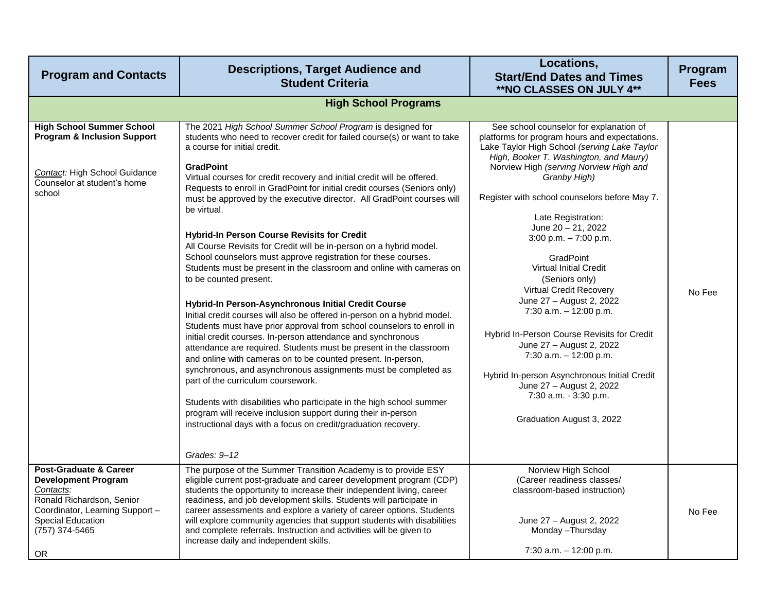| <b>Program and Contacts</b>                                                                                                                                                               | <b>Descriptions, Target Audience and</b><br><b>Student Criteria</b>                                                                                                                                                                                                                                                                                                                                                                                                                                                                                                                                                                                                                                                                                                                                                                                                                                                                                                                                                                                                                                                                                                                                                                                                                                                                                                                                                                                                                        | Locations,<br><b>Start/End Dates and Times</b><br>**NO CLASSES ON JULY 4**                                                                                                                                                                                                                                                                                                                                                                                                                                                                                                                                                                                                                                                                                                         | Program<br><b>Fees</b> |
|-------------------------------------------------------------------------------------------------------------------------------------------------------------------------------------------|--------------------------------------------------------------------------------------------------------------------------------------------------------------------------------------------------------------------------------------------------------------------------------------------------------------------------------------------------------------------------------------------------------------------------------------------------------------------------------------------------------------------------------------------------------------------------------------------------------------------------------------------------------------------------------------------------------------------------------------------------------------------------------------------------------------------------------------------------------------------------------------------------------------------------------------------------------------------------------------------------------------------------------------------------------------------------------------------------------------------------------------------------------------------------------------------------------------------------------------------------------------------------------------------------------------------------------------------------------------------------------------------------------------------------------------------------------------------------------------------|------------------------------------------------------------------------------------------------------------------------------------------------------------------------------------------------------------------------------------------------------------------------------------------------------------------------------------------------------------------------------------------------------------------------------------------------------------------------------------------------------------------------------------------------------------------------------------------------------------------------------------------------------------------------------------------------------------------------------------------------------------------------------------|------------------------|
|                                                                                                                                                                                           | <b>High School Programs</b>                                                                                                                                                                                                                                                                                                                                                                                                                                                                                                                                                                                                                                                                                                                                                                                                                                                                                                                                                                                                                                                                                                                                                                                                                                                                                                                                                                                                                                                                |                                                                                                                                                                                                                                                                                                                                                                                                                                                                                                                                                                                                                                                                                                                                                                                    |                        |
| <b>High School Summer School</b><br><b>Program &amp; Inclusion Support</b><br>Contact: High School Guidance<br>Counselor at student's home<br>school                                      | The 2021 High School Summer School Program is designed for<br>students who need to recover credit for failed course(s) or want to take<br>a course for initial credit.<br><b>GradPoint</b><br>Virtual courses for credit recovery and initial credit will be offered.<br>Requests to enroll in GradPoint for initial credit courses (Seniors only)<br>must be approved by the executive director. All GradPoint courses will<br>be virtual.<br>Hybrid-In Person Course Revisits for Credit<br>All Course Revisits for Credit will be in-person on a hybrid model.<br>School counselors must approve registration for these courses.<br>Students must be present in the classroom and online with cameras on<br>to be counted present.<br>Hybrid-In Person-Asynchronous Initial Credit Course<br>Initial credit courses will also be offered in-person on a hybrid model.<br>Students must have prior approval from school counselors to enroll in<br>initial credit courses. In-person attendance and synchronous<br>attendance are required. Students must be present in the classroom<br>and online with cameras on to be counted present. In-person,<br>synchronous, and asynchronous assignments must be completed as<br>part of the curriculum coursework.<br>Students with disabilities who participate in the high school summer<br>program will receive inclusion support during their in-person<br>instructional days with a focus on credit/graduation recovery.<br>Grades: 9-12 | See school counselor for explanation of<br>platforms for program hours and expectations.<br>Lake Taylor High School (serving Lake Taylor<br>High, Booker T. Washington, and Maury)<br>Norview High (serving Norview High and<br>Granby High)<br>Register with school counselors before May 7.<br>Late Registration:<br>June $20 - 21$ , 2022<br>$3:00$ p.m. $-7:00$ p.m.<br><b>GradPoint</b><br><b>Virtual Initial Credit</b><br>(Seniors only)<br><b>Virtual Credit Recovery</b><br>June 27 - August 2, 2022<br>7:30 a.m. $-$ 12:00 p.m.<br>Hybrid In-Person Course Revisits for Credit<br>June 27 - August 2, 2022<br>7:30 a.m. $-$ 12:00 p.m.<br>Hybrid In-person Asynchronous Initial Credit<br>June 27 - August 2, 2022<br>7:30 a.m. - 3:30 p.m.<br>Graduation August 3, 2022 | No Fee                 |
| <b>Post-Graduate &amp; Career</b><br><b>Development Program</b><br>Contacts:<br>Ronald Richardson, Senior<br>Coordinator, Learning Support -<br>Special Education<br>(757) 374-5465<br>OR | The purpose of the Summer Transition Academy is to provide ESY<br>eligible current post-graduate and career development program (CDP)<br>students the opportunity to increase their independent living, career<br>readiness, and job development skills. Students will participate in<br>career assessments and explore a variety of career options. Students<br>will explore community agencies that support students with disabilities<br>and complete referrals. Instruction and activities will be given to<br>increase daily and independent skills.                                                                                                                                                                                                                                                                                                                                                                                                                                                                                                                                                                                                                                                                                                                                                                                                                                                                                                                                  | Norview High School<br>(Career readiness classes/<br>classroom-based instruction)<br>June 27 - August 2, 2022<br>Monday - Thursday<br>7:30 a.m. - 12:00 p.m.                                                                                                                                                                                                                                                                                                                                                                                                                                                                                                                                                                                                                       | No Fee                 |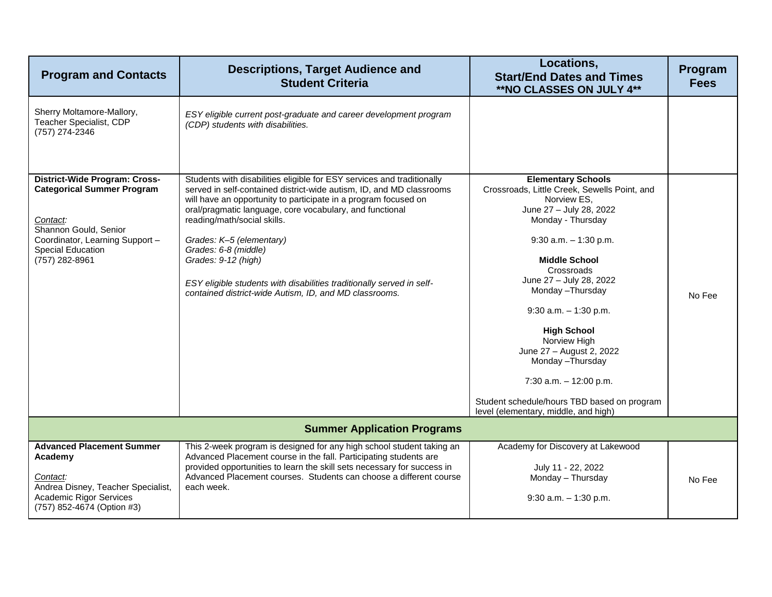| <b>Program and Contacts</b>                                                                                                                                                              | <b>Descriptions, Target Audience and</b><br><b>Student Criteria</b>                                                                                                                                                                                                                                                                                                                                                                                                                                                        | Locations,<br><b>Start/End Dates and Times</b><br>**NO CLASSES ON JULY 4**                                                                                                                                                                                                                                                                                                                                                                                                                        | Program<br><b>Fees</b> |
|------------------------------------------------------------------------------------------------------------------------------------------------------------------------------------------|----------------------------------------------------------------------------------------------------------------------------------------------------------------------------------------------------------------------------------------------------------------------------------------------------------------------------------------------------------------------------------------------------------------------------------------------------------------------------------------------------------------------------|---------------------------------------------------------------------------------------------------------------------------------------------------------------------------------------------------------------------------------------------------------------------------------------------------------------------------------------------------------------------------------------------------------------------------------------------------------------------------------------------------|------------------------|
| Sherry Moltamore-Mallory,<br>Teacher Specialist, CDP<br>(757) 274-2346                                                                                                                   | ESY eligible current post-graduate and career development program<br>(CDP) students with disabilities.                                                                                                                                                                                                                                                                                                                                                                                                                     |                                                                                                                                                                                                                                                                                                                                                                                                                                                                                                   |                        |
| District-Wide Program: Cross-<br><b>Categorical Summer Program</b><br>Contact:<br>Shannon Gould, Senior<br>Coordinator, Learning Support -<br><b>Special Education</b><br>(757) 282-8961 | Students with disabilities eligible for ESY services and traditionally<br>served in self-contained district-wide autism, ID, and MD classrooms<br>will have an opportunity to participate in a program focused on<br>oral/pragmatic language, core vocabulary, and functional<br>reading/math/social skills.<br>Grades: K-5 (elementary)<br>Grades: 6-8 (middle)<br>Grades: 9-12 (high)<br>ESY eligible students with disabilities traditionally served in self-<br>contained district-wide Autism, ID, and MD classrooms. | <b>Elementary Schools</b><br>Crossroads, Little Creek, Sewells Point, and<br>Norview ES,<br>June 27 - July 28, 2022<br>Monday - Thursday<br>$9:30$ a.m. $-1:30$ p.m.<br><b>Middle School</b><br>Crossroads<br>June 27 - July 28, 2022<br>Monday - Thursday<br>$9:30$ a.m. $-1:30$ p.m.<br><b>High School</b><br>Norview High<br>June 27 - August 2, 2022<br>Monday - Thursday<br>$7:30$ a.m. $-12:00$ p.m.<br>Student schedule/hours TBD based on program<br>level (elementary, middle, and high) | No Fee                 |
| <b>Summer Application Programs</b>                                                                                                                                                       |                                                                                                                                                                                                                                                                                                                                                                                                                                                                                                                            |                                                                                                                                                                                                                                                                                                                                                                                                                                                                                                   |                        |
| <b>Advanced Placement Summer</b><br>Academy<br>Contact:<br>Andrea Disney, Teacher Specialist,<br><b>Academic Rigor Services</b><br>(757) 852-4674 (Option #3)                            | This 2-week program is designed for any high school student taking an<br>Advanced Placement course in the fall. Participating students are<br>provided opportunities to learn the skill sets necessary for success in<br>Advanced Placement courses. Students can choose a different course<br>each week.                                                                                                                                                                                                                  | Academy for Discovery at Lakewood<br>July 11 - 22, 2022<br>Monday - Thursday<br>$9:30$ a.m. $-1:30$ p.m.                                                                                                                                                                                                                                                                                                                                                                                          | No Fee                 |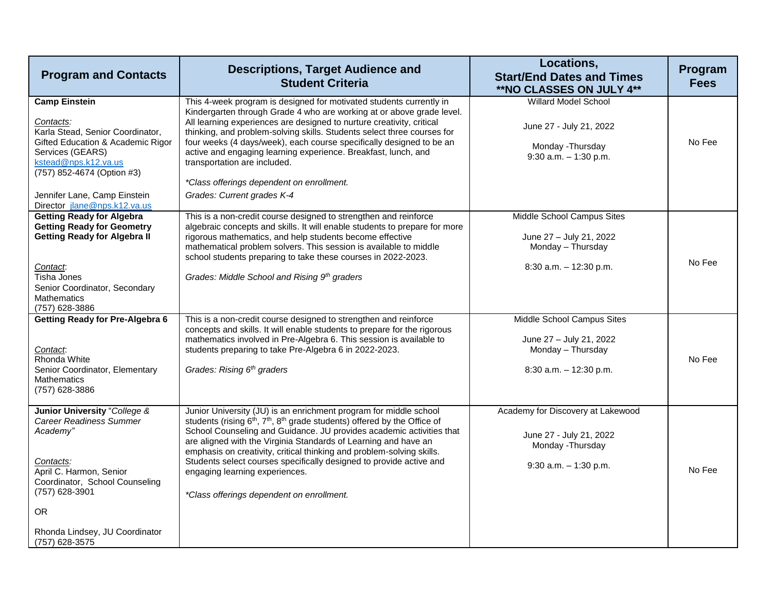| <b>Program and Contacts</b>                                                                                                                                                                                                                          | <b>Descriptions, Target Audience and</b><br><b>Student Criteria</b>                                                                                                                                                                                                                                                                                                                                                                                                                                                                                          | Locations,<br><b>Start/End Dates and Times</b><br>**NO CLASSES ON JULY 4**                                    | Program<br><b>Fees</b> |
|------------------------------------------------------------------------------------------------------------------------------------------------------------------------------------------------------------------------------------------------------|--------------------------------------------------------------------------------------------------------------------------------------------------------------------------------------------------------------------------------------------------------------------------------------------------------------------------------------------------------------------------------------------------------------------------------------------------------------------------------------------------------------------------------------------------------------|---------------------------------------------------------------------------------------------------------------|------------------------|
| <b>Camp Einstein</b><br>Contacts:<br>Karla Stead, Senior Coordinator,<br>Gifted Education & Academic Rigor<br>Services (GEARS)<br>kstead@nps.k12.va.us<br>(757) 852-4674 (Option #3)<br>Jennifer Lane, Camp Einstein<br>Director jlane@nps.k12.va.us | This 4-week program is designed for motivated students currently in<br>Kindergarten through Grade 4 who are working at or above grade level.<br>All learning experiences are designed to nurture creativity, critical<br>thinking, and problem-solving skills. Students select three courses for<br>four weeks (4 days/week), each course specifically designed to be an<br>active and engaging learning experience. Breakfast, lunch, and<br>transportation are included.<br>*Class offerings dependent on enrollment.<br>Grades: Current grades K-4        | Willard Model School<br>June 27 - July 21, 2022<br>Monday - Thursday<br>$9:30$ a.m. $-1:30$ p.m.              | No Fee                 |
| <b>Getting Ready for Algebra</b><br><b>Getting Ready for Geometry</b><br><b>Getting Ready for Algebra II</b><br>Contact:<br>Tisha Jones<br>Senior Coordinator, Secondary<br>Mathematics<br>(757) 628-3886                                            | This is a non-credit course designed to strengthen and reinforce<br>algebraic concepts and skills. It will enable students to prepare for more<br>rigorous mathematics, and help students become effective<br>mathematical problem solvers. This session is available to middle<br>school students preparing to take these courses in 2022-2023.<br>Grades: Middle School and Rising 9th graders                                                                                                                                                             | Middle School Campus Sites<br>June 27 - July 21, 2022<br>Monday - Thursday<br>$8:30$ a.m. $-12:30$ p.m.       | No Fee                 |
| <b>Getting Ready for Pre-Algebra 6</b><br>Contact.<br>Rhonda White<br>Senior Coordinator, Elementary<br><b>Mathematics</b><br>(757) 628-3886                                                                                                         | This is a non-credit course designed to strengthen and reinforce<br>concepts and skills. It will enable students to prepare for the rigorous<br>mathematics involved in Pre-Algebra 6. This session is available to<br>students preparing to take Pre-Algebra 6 in 2022-2023.<br>Grades: Rising 6 <sup>th</sup> graders                                                                                                                                                                                                                                      | Middle School Campus Sites<br>June 27 - July 21, 2022<br>Monday - Thursday<br>$8:30$ a.m. $-12:30$ p.m.       | No Fee                 |
| <b>Junior University "College &amp;</b><br><b>Career Readiness Summer</b><br>Academy"<br>Contacts:<br>April C. Harmon, Senior<br>Coordinator, School Counseling<br>(757) 628-3901<br><b>OR</b><br>Rhonda Lindsey, JU Coordinator<br>(757) 628-3575   | Junior University (JU) is an enrichment program for middle school<br>students (rising 6 <sup>th</sup> , 7 <sup>th</sup> , 8 <sup>th</sup> grade students) offered by the Office of<br>School Counseling and Guidance. JU provides academic activities that<br>are aligned with the Virginia Standards of Learning and have an<br>emphasis on creativity, critical thinking and problem-solving skills.<br>Students select courses specifically designed to provide active and<br>engaging learning experiences.<br>*Class offerings dependent on enrollment. | Academy for Discovery at Lakewood<br>June 27 - July 21, 2022<br>Monday - Thursday<br>$9:30$ a.m. $-1:30$ p.m. | No Fee                 |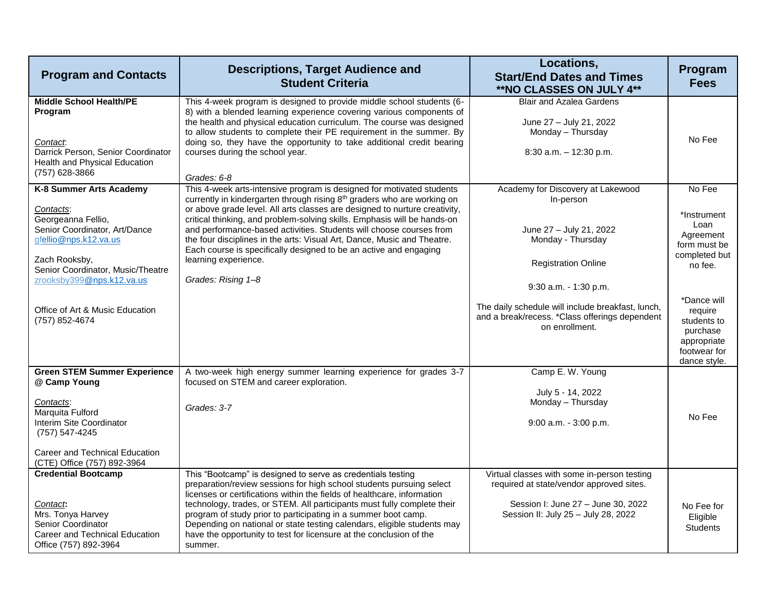| <b>Program and Contacts</b>                                                                                                                                                                                                                                                                         | <b>Descriptions, Target Audience and</b><br><b>Student Criteria</b>                                                                                                                                                                                                                                                                                                                                                                                                                                                                                                                                                                                             | Locations,<br><b>Start/End Dates and Times</b><br>**NO CLASSES ON JULY 4**                                                                                                                                                                                                                         | Program<br><b>Fees</b>                                                                                                                                                                     |
|-----------------------------------------------------------------------------------------------------------------------------------------------------------------------------------------------------------------------------------------------------------------------------------------------------|-----------------------------------------------------------------------------------------------------------------------------------------------------------------------------------------------------------------------------------------------------------------------------------------------------------------------------------------------------------------------------------------------------------------------------------------------------------------------------------------------------------------------------------------------------------------------------------------------------------------------------------------------------------------|----------------------------------------------------------------------------------------------------------------------------------------------------------------------------------------------------------------------------------------------------------------------------------------------------|--------------------------------------------------------------------------------------------------------------------------------------------------------------------------------------------|
| <b>Middle School Health/PE</b><br>Program<br>Contact.<br>Darrick Person, Senior Coordinator<br>Health and Physical Education<br>(757) 628-3866                                                                                                                                                      | This 4-week program is designed to provide middle school students (6-<br>8) with a blended learning experience covering various components of<br>the health and physical education curriculum. The course was designed<br>to allow students to complete their PE requirement in the summer. By<br>doing so, they have the opportunity to take additional credit bearing<br>courses during the school year.<br>Grades: 6-8                                                                                                                                                                                                                                       | <b>Blair and Azalea Gardens</b><br>June 27 - July 21, 2022<br>Monday - Thursday<br>8:30 a.m. - 12:30 p.m.                                                                                                                                                                                          | No Fee                                                                                                                                                                                     |
| K-8 Summer Arts Academy<br>Contacts:<br>Georgeanna Fellio,<br>Senior Coordinator, Art/Dance<br>gfellio@nps.k12.va.us<br>Zach Rooksby,<br>Senior Coordinator, Music/Theatre<br>zrooksby399@nps.k12.va.us<br>Office of Art & Music Education<br>(757) 852-4674<br><b>Green STEM Summer Experience</b> | This 4-week arts-intensive program is designed for motivated students<br>currently in kindergarten through rising 8 <sup>th</sup> graders who are working on<br>or above grade level. All arts classes are designed to nurture creativity,<br>critical thinking, and problem-solving skills. Emphasis will be hands-on<br>and performance-based activities. Students will choose courses from<br>the four disciplines in the arts: Visual Art, Dance, Music and Theatre.<br>Each course is specifically designed to be an active and engaging<br>learning experience.<br>Grades: Rising 1-8<br>A two-week high energy summer learning experience for grades 3-7 | Academy for Discovery at Lakewood<br>In-person<br>June 27 - July 21, 2022<br>Monday - Thursday<br><b>Registration Online</b><br>9:30 a.m. - 1:30 p.m.<br>The daily schedule will include breakfast, lunch,<br>and a break/recess. *Class offerings dependent<br>on enrollment.<br>Camp E. W. Young | No Fee<br>*Instrument<br>Loan<br>Agreement<br>form must be<br>completed but<br>no fee.<br>*Dance will<br>require<br>students to<br>purchase<br>appropriate<br>footwear for<br>dance style. |
| @ Camp Young<br>Contacts:<br>Marquita Fulford<br>Interim Site Coordinator<br>(757) 547-4245<br>Career and Technical Education<br>(CTE) Office (757) 892-3964                                                                                                                                        | focused on STEM and career exploration.<br>Grades: 3-7                                                                                                                                                                                                                                                                                                                                                                                                                                                                                                                                                                                                          | July 5 - 14, 2022<br>Monday - Thursday<br>9:00 a.m. - 3:00 p.m.                                                                                                                                                                                                                                    | No Fee                                                                                                                                                                                     |
| <b>Credential Bootcamp</b><br>Contact:<br>Mrs. Tonya Harvey<br><b>Senior Coordinator</b><br>Career and Technical Education<br>Office (757) 892-3964                                                                                                                                                 | This "Bootcamp" is designed to serve as credentials testing<br>preparation/review sessions for high school students pursuing select<br>licenses or certifications within the fields of healthcare, information<br>technology, trades, or STEM. All participants must fully complete their<br>program of study prior to participating in a summer boot camp.<br>Depending on national or state testing calendars, eligible students may<br>have the opportunity to test for licensure at the conclusion of the<br>summer.                                                                                                                                        | Virtual classes with some in-person testing<br>required at state/vendor approved sites.<br>Session I: June 27 - June 30, 2022<br>Session II: July 25 - July 28, 2022                                                                                                                               | No Fee for<br>Eligible<br><b>Students</b>                                                                                                                                                  |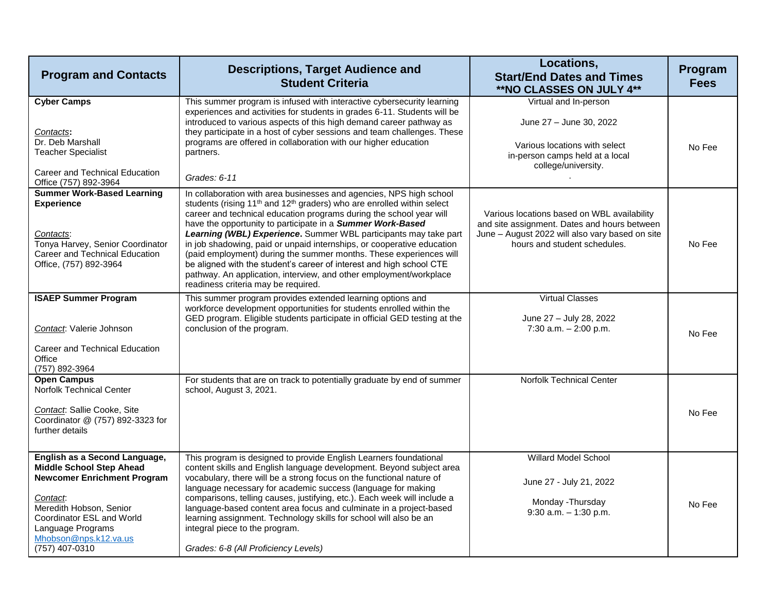| <b>Program and Contacts</b>                                                                                                                                                                                                                | <b>Descriptions, Target Audience and</b><br><b>Student Criteria</b>                                                                                                                                                                                                                                                                                                                                                                                                                                                                                                                                                                                                                                                 | Locations,<br><b>Start/End Dates and Times</b><br>**NO CLASSES ON JULY 4**                                                                                                     | Program<br><b>Fees</b> |
|--------------------------------------------------------------------------------------------------------------------------------------------------------------------------------------------------------------------------------------------|---------------------------------------------------------------------------------------------------------------------------------------------------------------------------------------------------------------------------------------------------------------------------------------------------------------------------------------------------------------------------------------------------------------------------------------------------------------------------------------------------------------------------------------------------------------------------------------------------------------------------------------------------------------------------------------------------------------------|--------------------------------------------------------------------------------------------------------------------------------------------------------------------------------|------------------------|
| <b>Cyber Camps</b><br>Contacts:<br>Dr. Deb Marshall<br><b>Teacher Specialist</b><br>Career and Technical Education<br>Office (757) 892-3964                                                                                                | This summer program is infused with interactive cybersecurity learning<br>experiences and activities for students in grades 6-11. Students will be<br>introduced to various aspects of this high demand career pathway as<br>they participate in a host of cyber sessions and team challenges. These<br>programs are offered in collaboration with our higher education<br>partners.<br>Grades: 6-11                                                                                                                                                                                                                                                                                                                | Virtual and In-person<br>June 27 - June 30, 2022<br>Various locations with select<br>in-person camps held at a local<br>college/university.                                    | No Fee                 |
| <b>Summer Work-Based Learning</b><br><b>Experience</b><br>Contacts:<br>Tonya Harvey, Senior Coordinator<br>Career and Technical Education<br>Office, (757) 892-3964                                                                        | In collaboration with area businesses and agencies, NPS high school<br>students (rising 11 <sup>th</sup> and 12 <sup>th</sup> graders) who are enrolled within select<br>career and technical education programs during the school year will<br>have the opportunity to participate in a Summer Work-Based<br>Learning (WBL) Experience. Summer WBL participants may take part<br>in job shadowing, paid or unpaid internships, or cooperative education<br>(paid employment) during the summer months. These experiences will<br>be aligned with the student's career of interest and high school CTE<br>pathway. An application, interview, and other employment/workplace<br>readiness criteria may be required. | Various locations based on WBL availability<br>and site assignment. Dates and hours between<br>June - August 2022 will also vary based on site<br>hours and student schedules. | No Fee                 |
| <b>ISAEP Summer Program</b><br>Contact: Valerie Johnson<br>Career and Technical Education<br>Office<br>(757) 892-3964                                                                                                                      | This summer program provides extended learning options and<br>workforce development opportunities for students enrolled within the<br>GED program. Eligible students participate in official GED testing at the<br>conclusion of the program.                                                                                                                                                                                                                                                                                                                                                                                                                                                                       | <b>Virtual Classes</b><br>June 27 - July 28, 2022<br>7:30 a.m. $- 2:00$ p.m.                                                                                                   | No Fee                 |
| <b>Open Campus</b><br>Norfolk Technical Center<br>Contact: Sallie Cooke, Site<br>Coordinator @ (757) 892-3323 for<br>further details                                                                                                       | For students that are on track to potentially graduate by end of summer<br>school, August 3, 2021.                                                                                                                                                                                                                                                                                                                                                                                                                                                                                                                                                                                                                  | <b>Norfolk Technical Center</b>                                                                                                                                                | No Fee                 |
| English as a Second Language,<br><b>Middle School Step Ahead</b><br><b>Newcomer Enrichment Program</b><br>Contact.<br>Meredith Hobson, Senior<br>Coordinator ESL and World<br>Language Programs<br>Mhobson@nps.k12.va.us<br>(757) 407-0310 | This program is designed to provide English Learners foundational<br>content skills and English language development. Beyond subject area<br>vocabulary, there will be a strong focus on the functional nature of<br>language necessary for academic success (language for making<br>comparisons, telling causes, justifying, etc.). Each week will include a<br>language-based content area focus and culminate in a project-based<br>learning assignment. Technology skills for school will also be an<br>integral piece to the program.<br>Grades: 6-8 (All Proficiency Levels)                                                                                                                                  | Willard Model School<br>June 27 - July 21, 2022<br>Monday - Thursday<br>9:30 a.m. - 1:30 p.m.                                                                                  | No Fee                 |